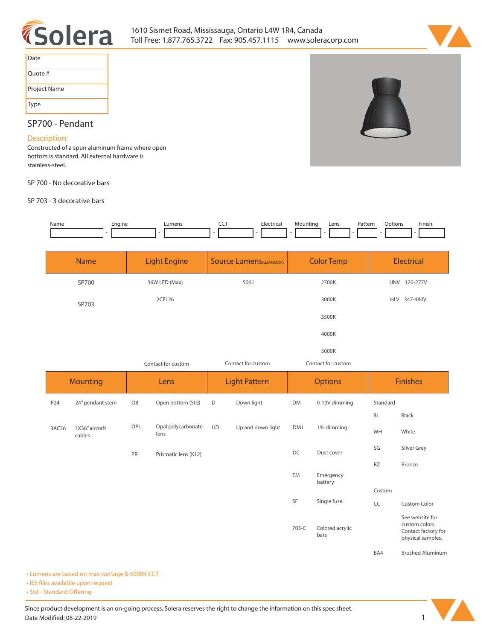



| Date         |
|--------------|
| Ouote #      |
| Project Name |
| <b>Type</b>  |

# **SP700 - Pendant**

## **Description:**

**Constructed of a spun aluminum frame where open bottom is standard. All external hardware is stainless-steel.** 

**SP 700 - No decorative bars**

**SP 703 - 3 decorative bars**



| <b>Name</b> | <b>Light Engine</b> | <b>Source Lumens (LED)(5000K)</b> | <b>Color Temp</b>  | <b>Electrical</b>      |  |
|-------------|---------------------|-----------------------------------|--------------------|------------------------|--|
| SP700       | 36W LED (Max)       | 5061                              | 2700K              | <b>UNV</b><br>120-277V |  |
| SP703       | 2CFL26              |                                   | 3000K              | HLV 347-480V           |  |
|             |                     |                                   | 3500K              |                        |  |
|             |                     |                                   | 4000K              |                        |  |
|             |                     |                                   | 5000K              |                        |  |
|             | Contact for custom  | Contact for custom                | Contact for custom |                        |  |

| <b>Mounting</b> |                          | Lens |                            | <b>Light Pattern</b> |                   | <b>Options</b> |                         | <b>Finishes</b> |                                                                               |
|-----------------|--------------------------|------|----------------------------|----------------------|-------------------|----------------|-------------------------|-----------------|-------------------------------------------------------------------------------|
| P24             | 24" pendant stem         | OB   | Open bottom (Std)          | D                    | Down light        | <b>DM</b>      | 0-10V dimming           | Standard        |                                                                               |
|                 |                          |      |                            |                      |                   |                |                         | <b>BL</b>       | Black                                                                         |
| 3AC36           | 3X36" aircraft<br>cables | OPL  | Opal polycarbonate<br>lens | <b>UD</b>            | Up and down light | DM1            | 1% dimming              | WH              | White                                                                         |
|                 |                          | PR   | Prismatic lens (K12)       |                      |                   | DC             | Dust cover              | SG              | Silver Grey                                                                   |
|                 |                          |      |                            |                      |                   |                |                         | <b>BZ</b>       | Bronze                                                                        |
|                 |                          |      |                            |                      |                   | EM             | Emergency<br>battery    |                 |                                                                               |
|                 |                          |      |                            |                      |                   |                |                         | Custom          |                                                                               |
|                 |                          |      |                            |                      |                   | SF             | Single fuse             | CC              | Custom Color                                                                  |
|                 |                          |      |                            |                      |                   | 703-C          | Colored acrylic<br>bars |                 | See website for<br>custom colors.<br>Contact factory for<br>physical samples. |
|                 |                          |      |                            |                      |                   |                |                         | BA4             | <b>Brushed Aluminum</b>                                                       |

**• Lumens are based on max wattage & 5000K CCT**

**• IES files available upon request** 

• Std - Standard Offering

Since product development is an on-going process, Solera reserves the right to change the information on this spec sheet. **Date Modified: 08-22-2019** 1